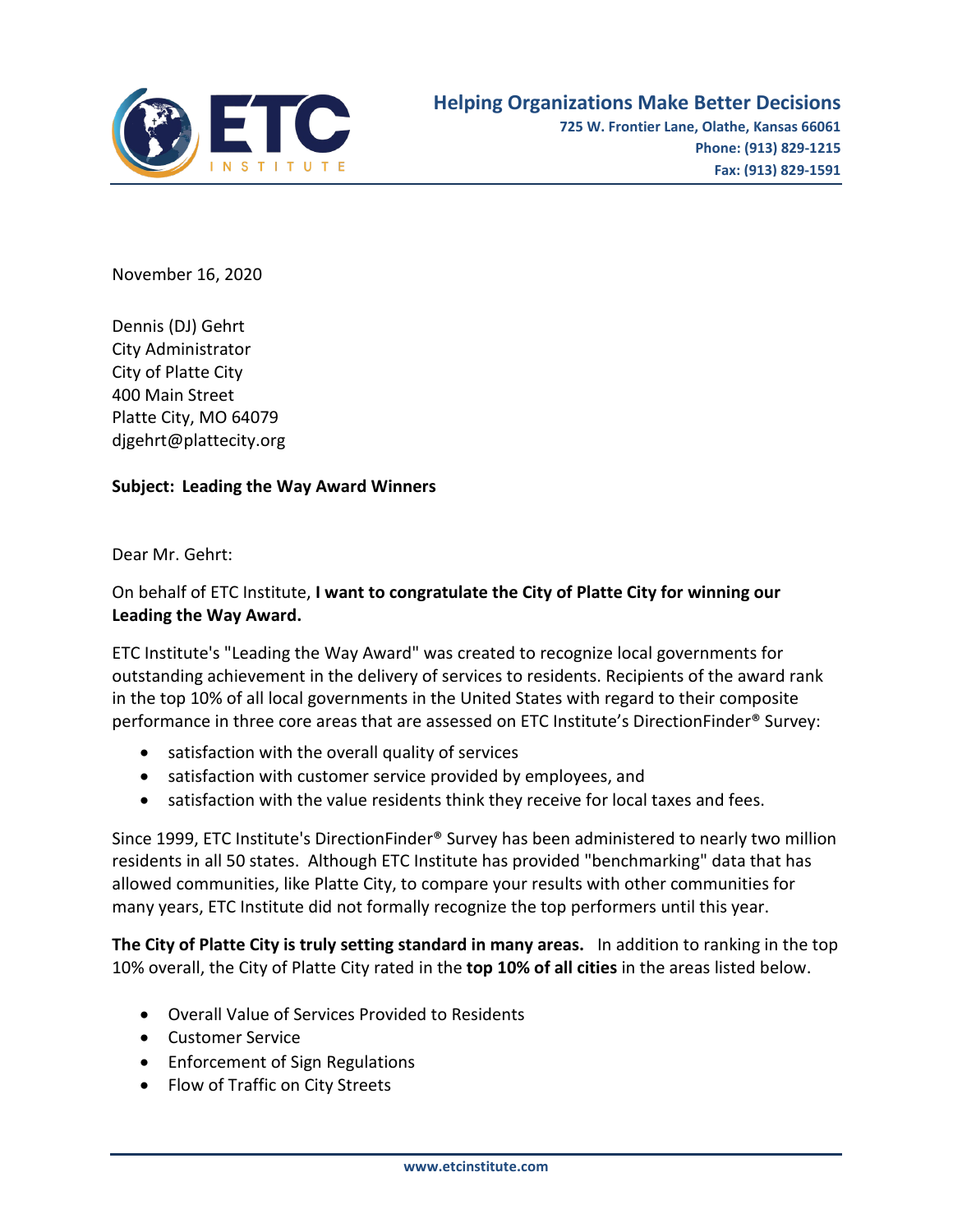

November 16, 2020

Dennis (DJ) Gehrt City Administrator City of Platte City 400 Main Street Platte City, MO 64079 djgehrt@plattecity.org

## **Subject: Leading the Way Award Winners**

Dear Mr. Gehrt:

## On behalf of ETC Institute, **I want to congratulate the City of Platte City for winning our Leading the Way Award.**

ETC Institute's "Leading the Way Award" was created to recognize local governments for outstanding achievement in the delivery of services to residents. Recipients of the award rank in the top 10% of all local governments in the United States with regard to their composite performance in three core areas that are assessed on ETC Institute's DirectionFinder® Survey:

- satisfaction with the overall quality of services
- satisfaction with customer service provided by employees, and
- satisfaction with the value residents think they receive for local taxes and fees.

Since 1999, ETC Institute's DirectionFinder® Survey has been administered to nearly two million residents in all 50 states. Although ETC Institute has provided "benchmarking" data that has allowed communities, like Platte City, to compare your results with other communities for many years, ETC Institute did not formally recognize the top performers until this year.

**The City of Platte City is truly setting standard in many areas.** In addition to ranking in the top 10% overall, the City of Platte City rated in the **top 10% of all cities** in the areas listed below.

- Overall Value of Services Provided to Residents
- Customer Service
- Enforcement of Sign Regulations
- Flow of Traffic on City Streets